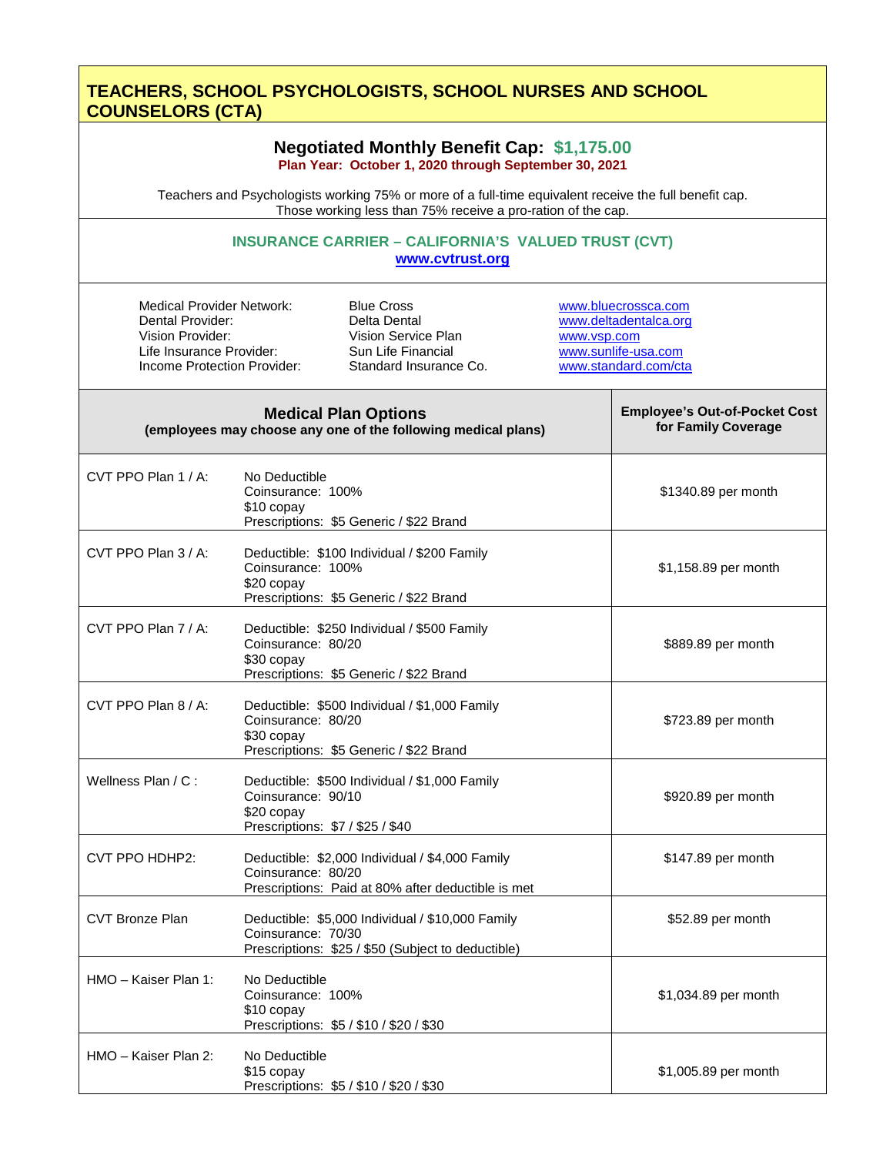## **TEACHERS, SCHOOL PSYCHOLOGISTS, SCHOOL NURSES AND SCHOOL COUNSELORS (CTA)**

| <b>COUNSELORS (CTA)</b>                                                                                                                                                |                                                                                                                              |                                                                                             |  |  |
|------------------------------------------------------------------------------------------------------------------------------------------------------------------------|------------------------------------------------------------------------------------------------------------------------------|---------------------------------------------------------------------------------------------|--|--|
| <b>Negotiated Monthly Benefit Cap: \$1,175.00</b><br>Plan Year: October 1, 2020 through September 30, 2021                                                             |                                                                                                                              |                                                                                             |  |  |
| Teachers and Psychologists working 75% or more of a full-time equivalent receive the full benefit cap.<br>Those working less than 75% receive a pro-ration of the cap. |                                                                                                                              |                                                                                             |  |  |
| <b>INSURANCE CARRIER - CALIFORNIA'S VALUED TRUST (CVT)</b><br>www.cvtrust.org                                                                                          |                                                                                                                              |                                                                                             |  |  |
| <b>Medical Provider Network:</b><br>Dental Provider:<br>Vision Provider:<br>Life Insurance Provider:<br>Income Protection Provider:                                    | <b>Blue Cross</b><br>Delta Dental<br>Vision Service Plan<br>www.vsp.com<br>Sun Life Financial<br>Standard Insurance Co.      | www.bluecrossca.com<br>www.deltadentalca.org<br>www.sunlife-usa.com<br>www.standard.com/cta |  |  |
|                                                                                                                                                                        | <b>Medical Plan Options</b><br>(employees may choose any one of the following medical plans)                                 | <b>Employee's Out-of-Pocket Cost</b><br>for Family Coverage                                 |  |  |
| CVT PPO Plan 1 / A:                                                                                                                                                    | No Deductible<br>Coinsurance: 100%<br>\$10 copay<br>Prescriptions: \$5 Generic / \$22 Brand                                  | \$1340.89 per month                                                                         |  |  |
| CVT PPO Plan 3 / A:                                                                                                                                                    | Deductible: \$100 Individual / \$200 Family<br>Coinsurance: 100%<br>\$20 copay<br>Prescriptions: \$5 Generic / \$22 Brand    | \$1,158.89 per month                                                                        |  |  |
| CVT PPO Plan 7 / A:                                                                                                                                                    | Deductible: \$250 Individual / \$500 Family<br>Coinsurance: 80/20<br>\$30 copay<br>Prescriptions: \$5 Generic / \$22 Brand   | \$889.89 per month                                                                          |  |  |
| CVT PPO Plan 8 / A:                                                                                                                                                    | Deductible: \$500 Individual / \$1,000 Family<br>Coinsurance: 80/20<br>\$30 copay<br>Prescriptions: \$5 Generic / \$22 Brand | \$723.89 per month                                                                          |  |  |
| Wellness Plan / C:                                                                                                                                                     | Deductible: \$500 Individual / \$1,000 Family<br>Coinsurance: 90/10<br>\$20 copay<br>Prescriptions: \$7 / \$25 / \$40        | \$920.89 per month                                                                          |  |  |
| CVT PPO HDHP2:                                                                                                                                                         | Deductible: \$2,000 Individual / \$4,000 Family<br>Coinsurance: 80/20<br>Prescriptions: Paid at 80% after deductible is met  | \$147.89 per month                                                                          |  |  |
| <b>CVT Bronze Plan</b>                                                                                                                                                 | Deductible: \$5,000 Individual / \$10,000 Family<br>Coinsurance: 70/30<br>Prescriptions: \$25 / \$50 (Subject to deductible) | \$52.89 per month                                                                           |  |  |
| HMO - Kaiser Plan 1:                                                                                                                                                   | No Deductible<br>Coinsurance: 100%<br>\$10 copay<br>Prescriptions: \$5 / \$10 / \$20 / \$30                                  | \$1,034.89 per month                                                                        |  |  |
| HMO – Kaiser Plan 2:                                                                                                                                                   | No Deductible<br>\$15 copay<br>Prescriptions: \$5 / \$10 / \$20 / \$30                                                       | \$1,005.89 per month                                                                        |  |  |